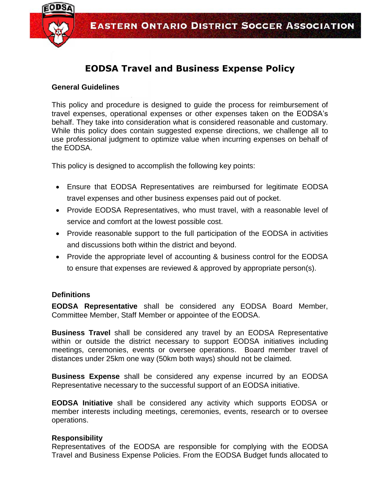

## **EODSA Travel and Business Expense Policy**

## **General Guidelines**

This policy and procedure is designed to guide the process for reimbursement of travel expenses, operational expenses or other expenses taken on the EODSA's behalf. They take into consideration what is considered reasonable and customary. While this policy does contain suggested expense directions, we challenge all to use professional judgment to optimize value when incurring expenses on behalf of the EODSA.

This policy is designed to accomplish the following key points:

- Ensure that EODSA Representatives are reimbursed for legitimate EODSA travel expenses and other business expenses paid out of pocket.
- Provide EODSA Representatives, who must travel, with a reasonable level of service and comfort at the lowest possible cost.
- Provide reasonable support to the full participation of the EODSA in activities and discussions both within the district and beyond.
- Provide the appropriate level of accounting & business control for the EODSA to ensure that expenses are reviewed & approved by appropriate person(s).

## **Definitions**

**EODSA Representative** shall be considered any EODSA Board Member, Committee Member, Staff Member or appointee of the EODSA.

**Business Travel** shall be considered any travel by an EODSA Representative within or outside the district necessary to support EODSA initiatives including meetings, ceremonies, events or oversee operations. Board member travel of distances under 25km one way (50km both ways) should not be claimed.

**Business Expense** shall be considered any expense incurred by an EODSA Representative necessary to the successful support of an EODSA initiative.

**EODSA Initiative** shall be considered any activity which supports EODSA or member interests including meetings, ceremonies, events, research or to oversee operations.

## **Responsibility**

Representatives of the EODSA are responsible for complying with the EODSA Travel and Business Expense Policies. From the EODSA Budget funds allocated to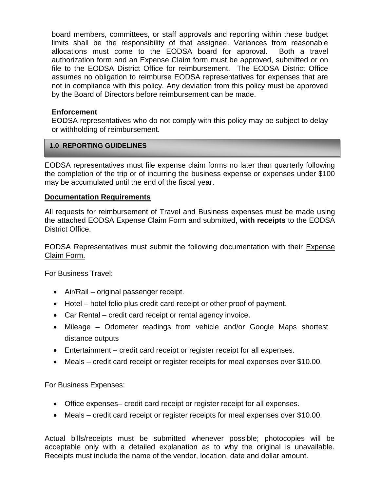board members, committees, or staff approvals and reporting within these budget limits shall be the responsibility of that assignee. Variances from reasonable allocations must come to the EODSA board for approval. Both a travel authorization form and an Expense Claim form must be approved, submitted or on file to the EODSA District Office for reimbursement. The EODSA District Office assumes no obligation to reimburse EODSA representatives for expenses that are not in compliance with this policy. Any deviation from this policy must be approved by the Board of Directors before reimbursement can be made.

## **Enforcement**

EODSA representatives who do not comply with this policy may be subject to delay or withholding of reimbursement.

#### **1.0 REPORTING GUIDELINES**

EODSA representatives must file expense claim forms no later than quarterly following the completion of the trip or of incurring the business expense or expenses under \$100 may be accumulated until the end of the fiscal year.

#### **Documentation Requirements**

All requests for reimbursement of Travel and Business expenses must be made using the attached EODSA Expense Claim Form and submitted, **with receipts** to the EODSA District Office.

EODSA Representatives must submit the following documentation with their Expense Claim Form.

For Business Travel:

- Air/Rail original passenger receipt.
- Hotel hotel folio plus credit card receipt or other proof of payment.
- Car Rental credit card receipt or rental agency invoice.
- Mileage Odometer readings from vehicle and/or Google Maps shortest distance outputs
- Entertainment credit card receipt or register receipt for all expenses.
- Meals credit card receipt or register receipts for meal expenses over \$10.00.

For Business Expenses:

- Office expenses– credit card receipt or register receipt for all expenses.
- Meals credit card receipt or register receipts for meal expenses over \$10.00.

Actual bills/receipts must be submitted whenever possible; photocopies will be acceptable only with a detailed explanation as to why the original is unavailable. Receipts must include the name of the vendor, location, date and dollar amount.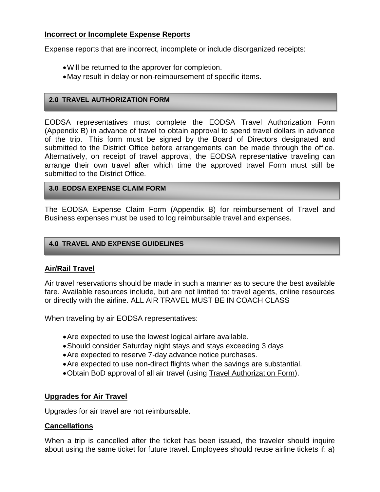## **Incorrect or Incomplete Expense Reports**

Expense reports that are incorrect, incomplete or include disorganized receipts:

- Will be returned to the approver for completion.
- May result in delay or non-reimbursement of specific items.

## **2.0 TRAVEL AUTHORIZATION FORM**

EODSA representatives must complete the EODSA Travel Authorization Form (Appendix B) in advance of travel to obtain approval to spend travel dollars in advance of the trip. This form must be signed by the Board of Directors designated and submitted to the District Office before arrangements can be made through the office. Alternatively, on receipt of travel approval, the EODSA representative traveling can arrange their own travel after which time the approved travel Form must still be submitted to the District Office.

## **3.0 EODSA EXPENSE CLAIM FORM**

The EODSA Expense Claim Form (Appendix B) for reimbursement of Travel and Business expenses must be used to log reimbursable travel and expenses.

## **4.0 TRAVEL AND EXPENSE GUIDELINES**

## **Air/Rail Travel**

Air travel reservations should be made in such a manner as to secure the best available fare. Available resources include, but are not limited to: travel agents, online resources or directly with the airline. ALL AIR TRAVEL MUST BE IN COACH CLASS

When traveling by air EODSA representatives:

- Are expected to use the lowest logical airfare available.
- Should consider Saturday night stays and stays exceeding 3 days
- Are expected to reserve 7-day advance notice purchases.
- Are expected to use non-direct flights when the savings are substantial.
- Obtain BoD approval of all air travel (using [Travel Authorization Form\)](http://www.employee-handbook.org/forms/travel_auth.doc).

## **Upgrades for Air Travel**

Upgrades for air travel are not reimbursable.

## **Cancellations**

When a trip is cancelled after the ticket has been issued, the traveler should inquire about using the same ticket for future travel. Employees should reuse airline tickets if: a)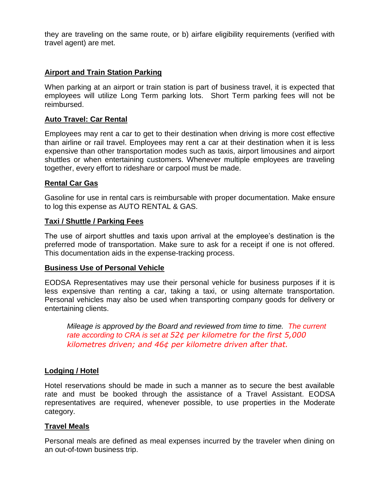they are traveling on the same route, or b) airfare eligibility requirements (verified with travel agent) are met.

## **Airport and Train Station Parking**

When parking at an airport or train station is part of business travel, it is expected that employees will utilize Long Term parking lots. Short Term parking fees will not be reimbursed.

## **Auto Travel: Car Rental**

Employees may rent a car to get to their destination when driving is more cost effective than airline or rail travel. Employees may rent a car at their destination when it is less expensive than other transportation modes such as taxis, airport limousines and airport shuttles or when entertaining customers. Whenever multiple employees are traveling together, every effort to rideshare or carpool must be made.

#### **Rental Car Gas**

Gasoline for use in rental cars is reimbursable with proper documentation. Make ensure to log this expense as AUTO RENTAL & GAS.

#### **Taxi / Shuttle / Parking Fees**

The use of airport shuttles and taxis upon arrival at the employee's destination is the preferred mode of transportation. Make sure to ask for a receipt if one is not offered. This documentation aids in the expense-tracking process.

#### **Business Use of Personal Vehicle**

EODSA Representatives may use their personal vehicle for business purposes if it is less expensive than renting a car, taking a taxi, or using alternate transportation. Personal vehicles may also be used when transporting company goods for delivery or entertaining clients.

*Mileage is approved by the Board and reviewed from time to time. The current rate according to CRA is set at 52¢ per kilometre for the first 5,000 kilometres driven; and 46¢ per kilometre driven after that.*

## **Lodging / Hotel**

Hotel reservations should be made in such a manner as to secure the best available rate and must be booked through the assistance of a Travel Assistant. EODSA representatives are required, whenever possible, to use properties in the Moderate category.

#### **Travel Meals**

Personal meals are defined as meal expenses incurred by the traveler when dining on an out-of-town business trip.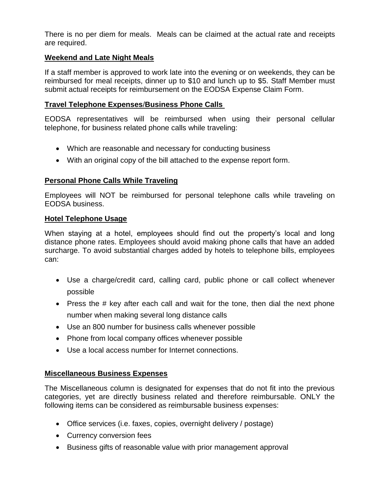There is no per diem for meals. Meals can be claimed at the actual rate and receipts are required.

## **Weekend and Late Night Meals**

If a staff member is approved to work late into the evening or on weekends, they can be reimbursed for meal receipts, dinner up to \$10 and lunch up to \$5. Staff Member must submit actual receipts for reimbursement on the EODSA Expense Claim Form.

#### **Travel Telephone Expenses**/**Business Phone Calls**

EODSA representatives will be reimbursed when using their personal cellular telephone, for business related phone calls while traveling:

- Which are reasonable and necessary for conducting business
- With an original copy of the bill attached to the expense report form.

## **Personal Phone Calls While Traveling**

Employees will NOT be reimbursed for personal telephone calls while traveling on EODSA business.

## **Hotel Telephone Usage**

When staying at a hotel, employees should find out the property's local and long distance phone rates. Employees should avoid making phone calls that have an added surcharge. To avoid substantial charges added by hotels to telephone bills, employees can:

- Use a charge/credit card, calling card, public phone or call collect whenever possible
- Press the # key after each call and wait for the tone, then dial the next phone number when making several long distance calls
- Use an 800 number for business calls whenever possible
- Phone from local company offices whenever possible
- Use a local access number for Internet connections.

## **Miscellaneous Business Expenses**

The Miscellaneous column is designated for expenses that do not fit into the previous categories, yet are directly business related and therefore reimbursable. ONLY the following items can be considered as reimbursable business expenses:

- Office services (i.e. faxes, copies, overnight delivery / postage)
- Currency conversion fees
- Business gifts of reasonable value with prior management approval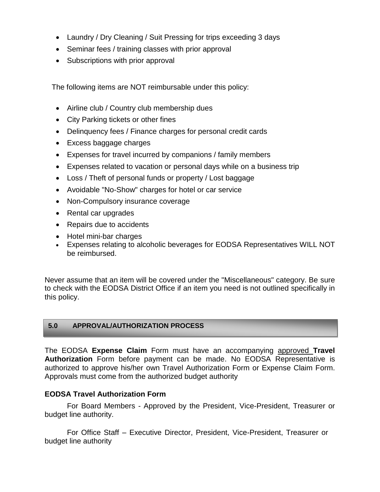- Laundry / Dry Cleaning / Suit Pressing for trips exceeding 3 days
- Seminar fees / training classes with prior approval
- Subscriptions with prior approval

The following items are NOT reimbursable under this policy:

- Airline club / Country club membership dues
- City Parking tickets or other fines
- Delinquency fees / Finance charges for personal credit cards
- Excess baggage charges
- Expenses for travel incurred by companions / family members
- Expenses related to vacation or personal days while on a business trip
- Loss / Theft of personal funds or property / Lost baggage
- Avoidable "No-Show" charges for hotel or car service
- Non-Compulsory insurance coverage
- Rental car upgrades
- Repairs due to accidents
- Hotel mini-bar charges
- Expenses relating to alcoholic beverages for EODSA Representatives WILL NOT be reimbursed.

Never assume that an item will be covered under the "Miscellaneous" category. Be sure to check with the EODSA District Office if an item you need is not outlined specifically in this policy.

## **5.0 APPROVAL/AUTHORIZATION PROCESS**

The EODSA **Expense Claim** Form must have an accompanying approved **Travel Authorization** Form before payment can be made. No EODSA Representative is authorized to approve his/her own Travel Authorization Form or Expense Claim Form. Approvals must come from the authorized budget authority

## **EODSA Travel Authorization Form**

For Board Members - Approved by the President, Vice-President, Treasurer or budget line authority.

For Office Staff – Executive Director, President, Vice-President, Treasurer or budget line authority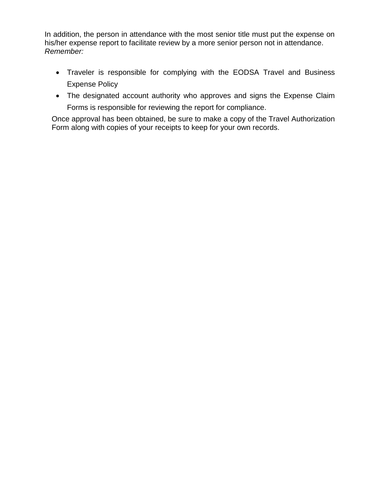In addition, the person in attendance with the most senior title must put the expense on his/her expense report to facilitate review by a more senior person not in attendance. *Remember:*

- Traveler is responsible for complying with the EODSA Travel and Business Expense Policy
- The designated account authority who approves and signs the Expense Claim Forms is responsible for reviewing the report for compliance.

Once approval has been obtained, be sure to make a copy of the Travel Authorization Form along with copies of your receipts to keep for your own records.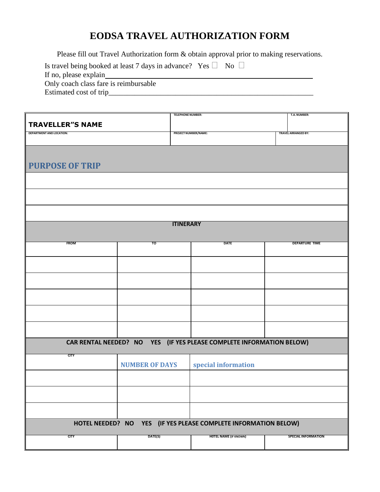# **EODSA TRAVEL AUTHORIZATION FORM**

Please fill out Travel Authorization form & obtain approval prior to making reservations.

| Is travel being booked at least 7 days in advance? Yes $\Box$ No $\Box$ |  |
|-------------------------------------------------------------------------|--|
| If no, please explain                                                   |  |
| Only coach class fare is reimbursable                                   |  |
| Estimated cost of trip                                                  |  |

|                                                                 | T.A. NUMBER:          |                                                                      |                            |  |  |
|-----------------------------------------------------------------|-----------------------|----------------------------------------------------------------------|----------------------------|--|--|
| <b>TRAVELLER"S NAME</b>                                         |                       |                                                                      |                            |  |  |
| <b>DEPARTMENT AND LOCATION:</b>                                 |                       | <b>PROJECT NUMBER/NAME:</b>                                          | <b>TRAVEL ARRANGED BY:</b> |  |  |
|                                                                 |                       |                                                                      |                            |  |  |
|                                                                 |                       |                                                                      |                            |  |  |
|                                                                 |                       |                                                                      |                            |  |  |
| <b>PURPOSE OF TRIP</b>                                          |                       |                                                                      |                            |  |  |
|                                                                 |                       |                                                                      |                            |  |  |
|                                                                 |                       |                                                                      |                            |  |  |
|                                                                 |                       |                                                                      |                            |  |  |
|                                                                 |                       |                                                                      |                            |  |  |
|                                                                 |                       |                                                                      |                            |  |  |
|                                                                 |                       |                                                                      |                            |  |  |
|                                                                 |                       |                                                                      |                            |  |  |
|                                                                 | <b>ITINERARY</b>      |                                                                      |                            |  |  |
|                                                                 |                       |                                                                      |                            |  |  |
| <b>FROM</b>                                                     | то                    | <b>DATE</b>                                                          | <b>DEPARTURE TIME</b>      |  |  |
|                                                                 |                       |                                                                      |                            |  |  |
|                                                                 |                       |                                                                      |                            |  |  |
|                                                                 |                       |                                                                      |                            |  |  |
|                                                                 |                       |                                                                      |                            |  |  |
|                                                                 |                       |                                                                      |                            |  |  |
|                                                                 |                       |                                                                      |                            |  |  |
|                                                                 |                       |                                                                      |                            |  |  |
|                                                                 |                       |                                                                      |                            |  |  |
|                                                                 |                       |                                                                      |                            |  |  |
|                                                                 |                       |                                                                      |                            |  |  |
|                                                                 |                       |                                                                      |                            |  |  |
|                                                                 |                       |                                                                      |                            |  |  |
|                                                                 |                       | CAR RENTAL NEEDED? NO YES (IF YES PLEASE COMPLETE INFORMATION BELOW) |                            |  |  |
|                                                                 |                       |                                                                      |                            |  |  |
| <b>CITY</b>                                                     |                       |                                                                      |                            |  |  |
|                                                                 | <b>NUMBER OF DAYS</b> | special information                                                  |                            |  |  |
|                                                                 |                       |                                                                      |                            |  |  |
|                                                                 |                       |                                                                      |                            |  |  |
|                                                                 |                       |                                                                      |                            |  |  |
|                                                                 |                       |                                                                      |                            |  |  |
|                                                                 |                       |                                                                      |                            |  |  |
|                                                                 |                       |                                                                      |                            |  |  |
| HOTEL NEEDED? NO YES (IF YES PLEASE COMPLETE INFORMATION BELOW) |                       |                                                                      |                            |  |  |
|                                                                 |                       |                                                                      |                            |  |  |
| <b>CITY</b>                                                     | DATE(S)               | <b>HOTEL NAME (IF KNOWN)</b>                                         | <b>SPECIAL INFORMATION</b> |  |  |
|                                                                 |                       |                                                                      |                            |  |  |
|                                                                 |                       |                                                                      |                            |  |  |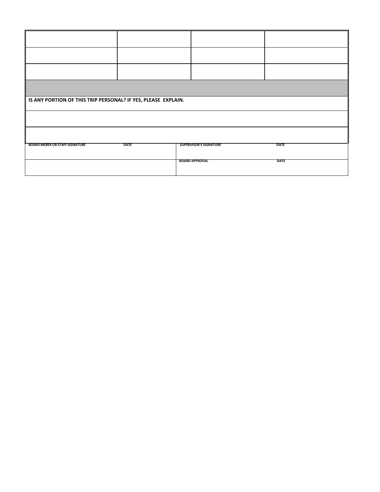| IS ANY PORTION OF THIS TRIP PERSONAL? IF YES, PLEASE EXPLAIN. |             |                               |             |  |  |  |  |
|---------------------------------------------------------------|-------------|-------------------------------|-------------|--|--|--|--|
|                                                               |             |                               |             |  |  |  |  |
|                                                               |             |                               |             |  |  |  |  |
| <b>BOARD MEBER OR STAFF SIGNATURE</b>                         | <b>DATE</b> | <b>SUPERVISOR'S SIGNATURE</b> | <b>DATE</b> |  |  |  |  |
|                                                               |             | <b>BOARD APPROVAL</b>         | <b>DATE</b> |  |  |  |  |